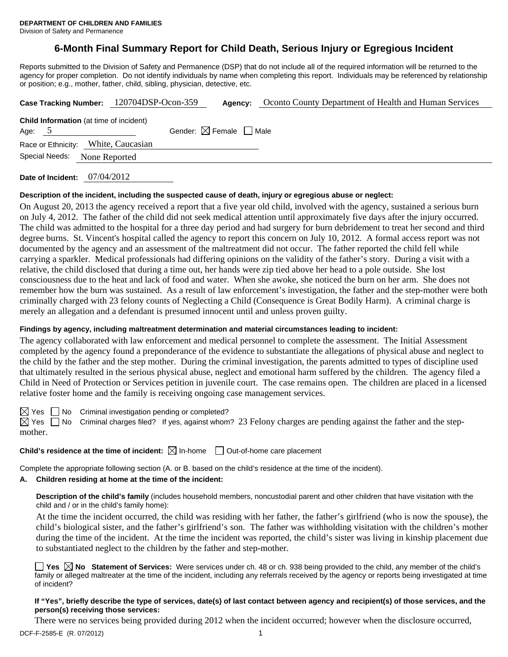# **6-Month Final Summary Report for Child Death, Serious Injury or Egregious Incident**

Reports submitted to the Division of Safety and Permanence (DSP) that do not include all of the required information will be returned to the agency for proper completion. Do not identify individuals by name when completing this report. Individuals may be referenced by relationship or position; e.g., mother, father, child, sibling, physician, detective, etc.

| Case Tracking Number: 120704DSP-Ocon-359                   | Agency:                                | Oconto County Department of Health and Human Services |
|------------------------------------------------------------|----------------------------------------|-------------------------------------------------------|
| <b>Child Information</b> (at time of incident)<br>Age: $5$ | Gender: $\boxtimes$ Female $\Box$ Male |                                                       |
| Race or Ethnicity: White, Caucasian<br>Special Needs:      |                                        |                                                       |
| None Reported                                              |                                        |                                                       |

**Date of Incident:** 07/04/2012

#### **Description of the incident, including the suspected cause of death, injury or egregious abuse or neglect:**

On August 20, 2013 the agency received a report that a five year old child, involved with the agency, sustained a serious burn on July 4, 2012. The father of the child did not seek medical attention until approximately five days after the injury occurred. The child was admitted to the hospital for a three day period and had surgery for burn debridement to treat her second and third degree burns. St. Vincent's hospital called the agency to report this concern on July 10, 2012. A formal access report was not documented by the agency and an assessment of the maltreatment did not occur. The father reported the child fell while carrying a sparkler. Medical professionals had differing opinions on the validity of the father's story. During a visit with a relative, the child disclosed that during a time out, her hands were zip tied above her head to a pole outside. She lost consciousness due to the heat and lack of food and water. When she awoke, she noticed the burn on her arm. She does not remember how the burn was sustained. As a result of law enforcement's investigation, the father and the step-mother were both criminally charged with 23 felony counts of Neglecting a Child (Consequence is Great Bodily Harm). A criminal charge is merely an allegation and a defendant is presumed innocent until and unless proven guilty.

## **Findings by agency, including maltreatment determination and material circumstances leading to incident:**

The agency collaborated with law enforcement and medical personnel to complete the assessment. The Initial Assessment completed by the agency found a preponderance of the evidence to substantiate the allegations of physical abuse and neglect to the child by the father and the step mother. During the criminal investigation, the parents admitted to types of discipline used that ultimately resulted in the serious physical abuse, neglect and emotional harm suffered by the children. The agency filed a Child in Need of Protection or Services petition in juvenile court. The case remains open. The children are placed in a licensed relative foster home and the family is receiving ongoing case management services.

 $\boxtimes$  Yes  $\Box$  No Criminal investigation pending or completed?

 $\boxtimes$  Yes  $\Box$  No Criminal charges filed? If yes, against whom? 23 Felony charges are pending against the father and the stepmother.

#### **Child's residence at the time of incident:**  $\boxtimes$  In-home  $\Box$  Out-of-home care placement

Complete the appropriate following section (A. or B. based on the child's residence at the time of the incident).

### **A. Children residing at home at the time of the incident:**

**Description of the child's family** (includes household members, noncustodial parent and other children that have visitation with the child and / or in the child's family home):

 At the time the incident occurred, the child was residing with her father, the father's girlfriend (who is now the spouse), the child's biological sister, and the father's girlfriend's son. The father was withholding visitation with the children's mother during the time of the incident. At the time the incident was reported, the child's sister was living in kinship placement due to substantiated neglect to the children by the father and step-mother.

**Yes No Statement of Services:** Were services under ch. 48 or ch. 938 being provided to the child, any member of the child's family or alleged maltreater at the time of the incident, including any referrals received by the agency or reports being investigated at time of incident?

#### **If "Yes", briefly describe the type of services, date(s) of last contact between agency and recipient(s) of those services, and the person(s) receiving those services:**

There were no services being provided during 2012 when the incident occurred; however when the disclosure occurred,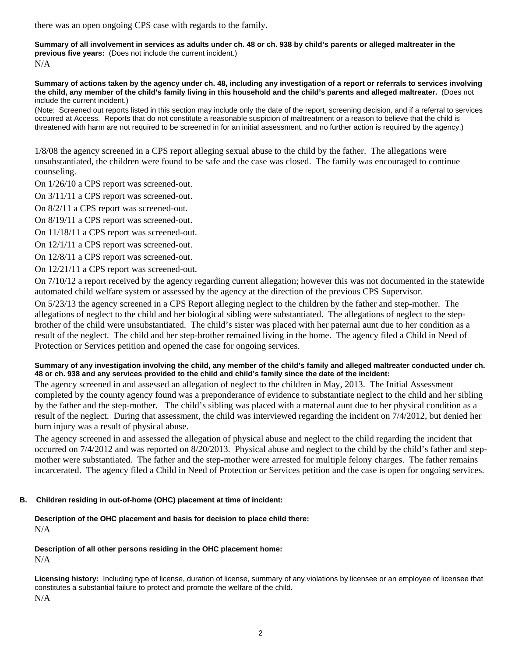there was an open ongoing CPS case with regards to the family.

**Summary of all involvement in services as adults under ch. 48 or ch. 938 by child's parents or alleged maltreater in the previous five years:** (Does not include the current incident.) N/A

**Summary of actions taken by the agency under ch. 48, including any investigation of a report or referrals to services involving the child, any member of the child's family living in this household and the child's parents and alleged maltreater.** (Does not include the current incident.)

(Note: Screened out reports listed in this section may include only the date of the report, screening decision, and if a referral to services occurred at Access. Reports that do not constitute a reasonable suspicion of maltreatment or a reason to believe that the child is threatened with harm are not required to be screened in for an initial assessment, and no further action is required by the agency.)

1/8/08 the agency screened in a CPS report alleging sexual abuse to the child by the father. The allegations were unsubstantiated, the children were found to be safe and the case was closed. The family was encouraged to continue counseling.

On 1/26/10 a CPS report was screened-out.

On 3/11/11 a CPS report was screened-out.

On 8/2/11 a CPS report was screened-out.

On 8/19/11 a CPS report was screened-out.

On 11/18/11 a CPS report was screened-out.

On 12/1/11 a CPS report was screened-out.

On 12/8/11 a CPS report was screened-out.

On 12/21/11 a CPS report was screened-out.

On 7/10/12 a report received by the agency regarding current allegation; however this was not documented in the statewide automated child welfare system or assessed by the agency at the direction of the previous CPS Supervisor.

On 5/23/13 the agency screened in a CPS Report alleging neglect to the children by the father and step-mother. The allegations of neglect to the child and her biological sibling were substantiated. The allegations of neglect to the stepbrother of the child were unsubstantiated. The child's sister was placed with her paternal aunt due to her condition as a result of the neglect. The child and her step-brother remained living in the home. The agency filed a Child in Need of Protection or Services petition and opened the case for ongoing services.

#### **Summary of any investigation involving the child, any member of the child's family and alleged maltreater conducted under ch. 48 or ch. 938 and any services provided to the child and child's family since the date of the incident:**

The agency screened in and assessed an allegation of neglect to the children in May, 2013. The Initial Assessment completed by the county agency found was a preponderance of evidence to substantiate neglect to the child and her sibling by the father and the step-mother. The child's sibling was placed with a maternal aunt due to her physical condition as a result of the neglect. During that assessment, the child was interviewed regarding the incident on 7/4/2012, but denied her burn injury was a result of physical abuse.

The agency screened in and assessed the allegation of physical abuse and neglect to the child regarding the incident that occurred on 7/4/2012 and was reported on 8/20/2013. Physical abuse and neglect to the child by the child's father and stepmother were substantiated. The father and the step-mother were arrested for multiple felony charges. The father remains incarcerated. The agency filed a Child in Need of Protection or Services petition and the case is open for ongoing services.

#### **B. Children residing in out-of-home (OHC) placement at time of incident:**

**Description of the OHC placement and basis for decision to place child there:**

N/A

**Description of all other persons residing in the OHC placement home:**

N/A

**Licensing history:** Including type of license, duration of license, summary of any violations by licensee or an employee of licensee that constitutes a substantial failure to protect and promote the welfare of the child. N/A